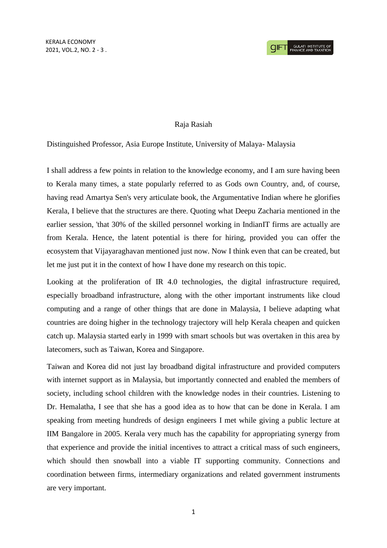## Raja Rasiah

## Distinguished Professor, Asia Europe Institute, University of Malaya- Malaysia

I shall address a few points in relation to the knowledge economy, and I am sure having been to Kerala many times, a state popularly referred to as Gods own Country, and, of course, having read Amartya Sen's very articulate book, the Argumentative Indian where he glorifies Kerala, I believe that the structures are there. Quoting what Deepu Zacharia mentioned in the earlier session, 'that 30% of the skilled personnel working in IndianIT firms are actually are from Kerala. Hence, the latent potential is there for hiring, provided you can offer the ecosystem that Vijayaraghavan mentioned just now. Now I think even that can be created, but let me just put it in the context of how I have done my research on this topic.

Looking at the proliferation of IR 4.0 technologies, the digital infrastructure required, especially broadband infrastructure, along with the other important instruments like cloud computing and a range of other things that are done in Malaysia, I believe adapting what countries are doing higher in the technology trajectory will help Kerala cheapen and quicken catch up. Malaysia started early in 1999 with smart schools but was overtaken in this area by latecomers, such as Taiwan, Korea and Singapore.

Taiwan and Korea did not just lay broadband digital infrastructure and provided computers with internet support as in Malaysia, but importantly connected and enabled the members of society, including school children with the knowledge nodes in their countries. Listening to Dr. Hemalatha, I see that she has a good idea as to how that can be done in Kerala. I am speaking from meeting hundreds of design engineers I met while giving a public lecture at IIM Bangalore in 2005. Kerala very much has the capability for appropriating synergy from that experience and provide the initial incentives to attract a critical mass of such engineers, which should then snowball into a viable IT supporting community. Connections and coordination between firms, intermediary organizations and related government instruments are very important.